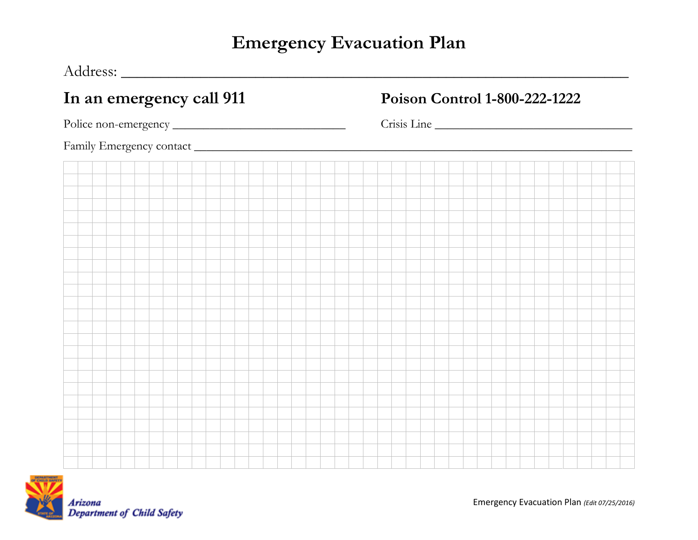## **Emergency Evacuation Plan**

Address: **\_\_\_\_\_\_\_\_\_\_\_\_\_\_\_\_\_\_\_\_\_\_\_\_\_\_\_\_\_\_\_\_\_\_\_\_\_\_\_\_\_\_\_\_\_\_\_\_\_\_\_\_\_\_\_\_\_\_\_\_\_\_\_\_**

|  | In an emergency call 911 |  |  |  |  |  |  |  |  |  |  |  | Poison Control 1-800-222-1222 |  |  |  |  |  |  |  |  |  |  |  |  |  |  |  |  |  |  |  |  |
|--|--------------------------|--|--|--|--|--|--|--|--|--|--|--|-------------------------------|--|--|--|--|--|--|--|--|--|--|--|--|--|--|--|--|--|--|--|--|
|  |                          |  |  |  |  |  |  |  |  |  |  |  | Crisis Line                   |  |  |  |  |  |  |  |  |  |  |  |  |  |  |  |  |  |  |  |  |
|  |                          |  |  |  |  |  |  |  |  |  |  |  |                               |  |  |  |  |  |  |  |  |  |  |  |  |  |  |  |  |  |  |  |  |
|  |                          |  |  |  |  |  |  |  |  |  |  |  |                               |  |  |  |  |  |  |  |  |  |  |  |  |  |  |  |  |  |  |  |  |
|  |                          |  |  |  |  |  |  |  |  |  |  |  |                               |  |  |  |  |  |  |  |  |  |  |  |  |  |  |  |  |  |  |  |  |
|  |                          |  |  |  |  |  |  |  |  |  |  |  |                               |  |  |  |  |  |  |  |  |  |  |  |  |  |  |  |  |  |  |  |  |
|  |                          |  |  |  |  |  |  |  |  |  |  |  |                               |  |  |  |  |  |  |  |  |  |  |  |  |  |  |  |  |  |  |  |  |
|  |                          |  |  |  |  |  |  |  |  |  |  |  |                               |  |  |  |  |  |  |  |  |  |  |  |  |  |  |  |  |  |  |  |  |
|  |                          |  |  |  |  |  |  |  |  |  |  |  |                               |  |  |  |  |  |  |  |  |  |  |  |  |  |  |  |  |  |  |  |  |
|  |                          |  |  |  |  |  |  |  |  |  |  |  |                               |  |  |  |  |  |  |  |  |  |  |  |  |  |  |  |  |  |  |  |  |
|  |                          |  |  |  |  |  |  |  |  |  |  |  |                               |  |  |  |  |  |  |  |  |  |  |  |  |  |  |  |  |  |  |  |  |
|  |                          |  |  |  |  |  |  |  |  |  |  |  |                               |  |  |  |  |  |  |  |  |  |  |  |  |  |  |  |  |  |  |  |  |
|  |                          |  |  |  |  |  |  |  |  |  |  |  |                               |  |  |  |  |  |  |  |  |  |  |  |  |  |  |  |  |  |  |  |  |
|  |                          |  |  |  |  |  |  |  |  |  |  |  |                               |  |  |  |  |  |  |  |  |  |  |  |  |  |  |  |  |  |  |  |  |
|  |                          |  |  |  |  |  |  |  |  |  |  |  |                               |  |  |  |  |  |  |  |  |  |  |  |  |  |  |  |  |  |  |  |  |
|  |                          |  |  |  |  |  |  |  |  |  |  |  |                               |  |  |  |  |  |  |  |  |  |  |  |  |  |  |  |  |  |  |  |  |
|  |                          |  |  |  |  |  |  |  |  |  |  |  |                               |  |  |  |  |  |  |  |  |  |  |  |  |  |  |  |  |  |  |  |  |
|  |                          |  |  |  |  |  |  |  |  |  |  |  |                               |  |  |  |  |  |  |  |  |  |  |  |  |  |  |  |  |  |  |  |  |
|  |                          |  |  |  |  |  |  |  |  |  |  |  |                               |  |  |  |  |  |  |  |  |  |  |  |  |  |  |  |  |  |  |  |  |
|  |                          |  |  |  |  |  |  |  |  |  |  |  |                               |  |  |  |  |  |  |  |  |  |  |  |  |  |  |  |  |  |  |  |  |
|  |                          |  |  |  |  |  |  |  |  |  |  |  |                               |  |  |  |  |  |  |  |  |  |  |  |  |  |  |  |  |  |  |  |  |
|  |                          |  |  |  |  |  |  |  |  |  |  |  |                               |  |  |  |  |  |  |  |  |  |  |  |  |  |  |  |  |  |  |  |  |
|  |                          |  |  |  |  |  |  |  |  |  |  |  |                               |  |  |  |  |  |  |  |  |  |  |  |  |  |  |  |  |  |  |  |  |
|  |                          |  |  |  |  |  |  |  |  |  |  |  |                               |  |  |  |  |  |  |  |  |  |  |  |  |  |  |  |  |  |  |  |  |
|  |                          |  |  |  |  |  |  |  |  |  |  |  |                               |  |  |  |  |  |  |  |  |  |  |  |  |  |  |  |  |  |  |  |  |
|  |                          |  |  |  |  |  |  |  |  |  |  |  |                               |  |  |  |  |  |  |  |  |  |  |  |  |  |  |  |  |  |  |  |  |



Emergency Evacuation Plan *(Edit 07/25/2016)*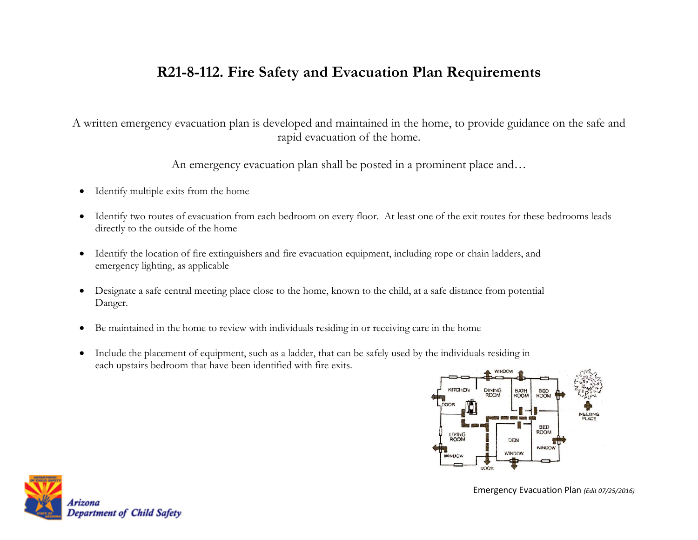## **R21-8-112. Fire Safety and Evacuation Plan Requirements**

A written emergency evacuation plan is developed and maintained in the home, to provide guidance on the safe and rapid evacuation of the home.

An emergency evacuation plan shall be posted in a prominent place and…

- Identify multiple exits from the home
- Identify two routes of evacuation from each bedroom on every floor. At least one of the exit routes for these bedrooms leads directly to the outside of the home
- Identify the location of fire extinguishers and fire evacuation equipment, including rope or chain ladders, and emergency lighting, as applicable
- Designate a safe central meeting place close to the home, known to the child, at a safe distance from potential Danger.
- Be maintained in the home to review with individuals residing in or receiving care in the home
- Include the placement of equipment, such as a ladder, that can be safely used by the individuals residing in each upstairs bedroom that have been identified with fire exits.





Emergency Evacuation Plan *(Edit 07/25/2016)*